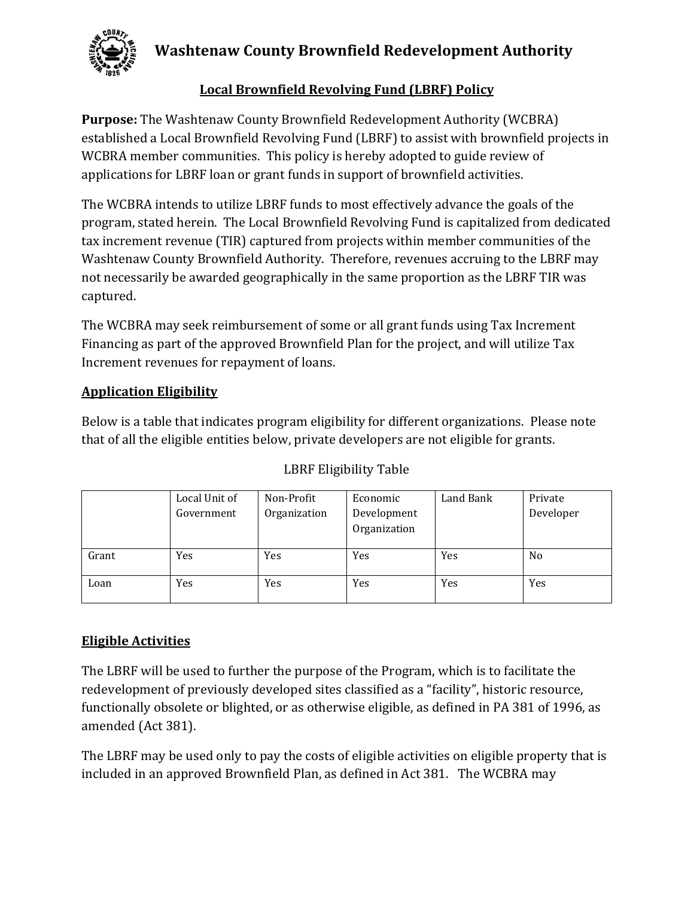

## **Local Brownfield Revolving Fund (LBRF) Policy**

**Purpose:** The Washtenaw County Brownfield Redevelopment Authority (WCBRA) established a Local Brownfield Revolving Fund (LBRF) to assist with brownfield projects in WCBRA member communities. This policy is hereby adopted to guide review of applications for LBRF loan or grant funds in support of brownfield activities.

The WCBRA intends to utilize LBRF funds to most effectively advance the goals of the program, stated herein. The Local Brownfield Revolving Fund is capitalized from dedicated tax increment revenue (TIR) captured from projects within member communities of the Washtenaw County Brownfield Authority. Therefore, revenues accruing to the LBRF may not necessarily be awarded geographically in the same proportion as the LBRF TIR was captured. 

The WCBRA may seek reimbursement of some or all grant funds using Tax Increment Financing as part of the approved Brownfield Plan for the project, and will utilize Tax Increment revenues for repayment of loans.

### **Application Eligibility**

Below is a table that indicates program eligibility for different organizations. Please note that of all the eligible entities below, private developers are not eligible for grants.

|       | Local Unit of | Non-Profit   | Economic     | Land Bank | Private        |
|-------|---------------|--------------|--------------|-----------|----------------|
|       | Government    | Organization | Development  |           | Developer      |
|       |               |              | Organization |           |                |
|       |               |              |              |           |                |
| Grant | Yes           | Yes          | Yes          | Yes       | N <sub>0</sub> |
|       |               |              |              |           |                |
| Loan  | Yes           | Yes          | Yes          | Yes       | Yes            |
|       |               |              |              |           |                |

## LBRF Eligibility Table

## **Eligible Activities**

The LBRF will be used to further the purpose of the Program, which is to facilitate the redevelopment of previously developed sites classified as a "facility", historic resource, functionally obsolete or blighted, or as otherwise eligible, as defined in PA 381 of 1996, as amended (Act 381).

The LBRF may be used only to pay the costs of eligible activities on eligible property that is included in an approved Brownfield Plan, as defined in Act 381. The WCBRA may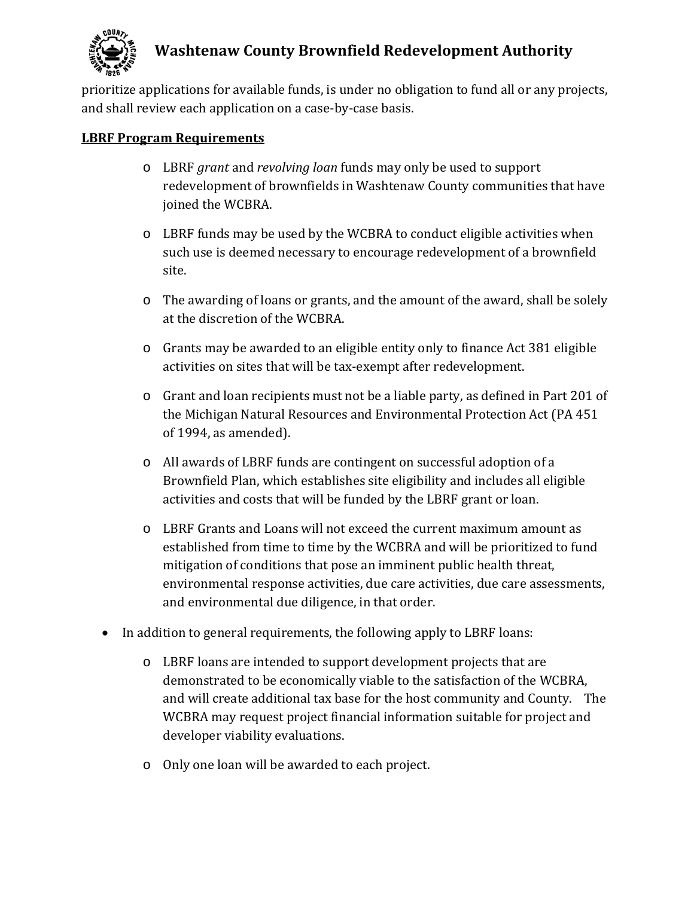

prioritize applications for available funds, is under no obligation to fund all or any projects, and shall review each application on a case-by-case basis.

#### **LBRF** Program Requirements

- o LBRF *grant* and *revolving loan* funds may only be used to support redevelopment of brownfields in Washtenaw County communities that have joined the WCBRA.
- $\circ$  LBRF funds may be used by the WCBRA to conduct eligible activities when such use is deemed necessary to encourage redevelopment of a brownfield site.
- $\circ$  The awarding of loans or grants, and the amount of the award, shall be solely at the discretion of the WCBRA.
- o Grants may be awarded to an eligible entity only to finance Act 381 eligible activities on sites that will be tax-exempt after redevelopment.
- o Grant and loan recipients must not be a liable party, as defined in Part 201 of the Michigan Natural Resources and Environmental Protection Act (PA 451) of 1994, as amended).
- o All awards of LBRF funds are contingent on successful adoption of a Brownfield Plan, which establishes site eligibility and includes all eligible activities and costs that will be funded by the LBRF grant or loan.
- o LBRF Grants and Loans will not exceed the current maximum amount as established from time to time by the WCBRA and will be prioritized to fund mitigation of conditions that pose an imminent public health threat, environmental response activities, due care activities, due care assessments, and environmental due diligence, in that order.
- In addition to general requirements, the following apply to LBRF loans:
	- $\circ$  LBRF loans are intended to support development projects that are demonstrated to be economically viable to the satisfaction of the WCBRA, and will create additional tax base for the host community and County. The WCBRA may request project financial information suitable for project and developer viability evaluations.
	- o Only one loan will be awarded to each project.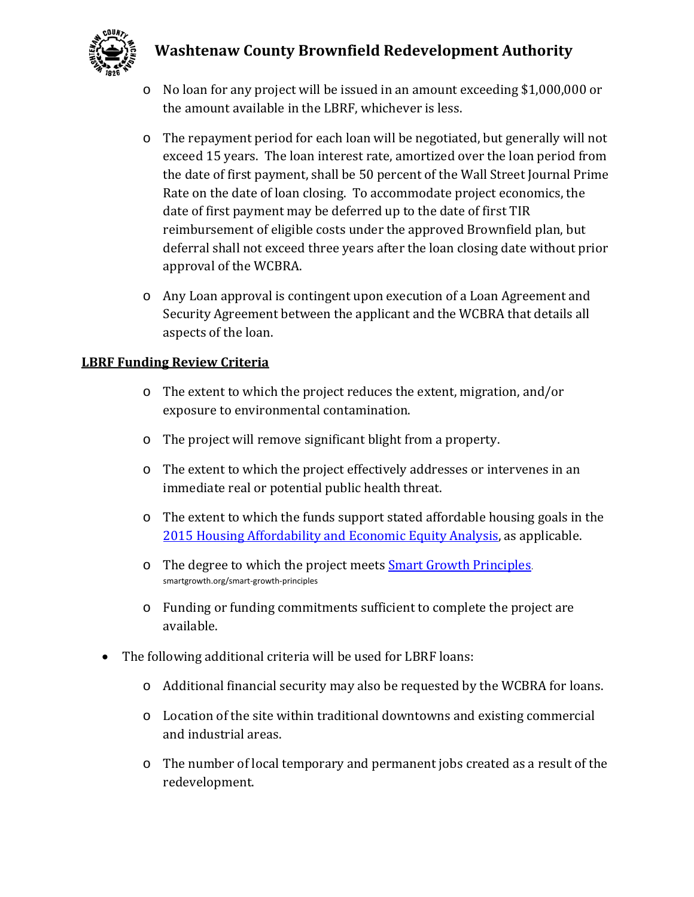

- $\circ$  No loan for any project will be issued in an amount exceeding \$1,000,000 or the amount available in the LBRF, whichever is less.
- o The repayment period for each loan will be negotiated, but generally will not exceed 15 years. The loan interest rate, amortized over the loan period from the date of first payment, shall be 50 percent of the Wall Street Journal Prime Rate on the date of loan closing. To accommodate project economics, the date of first payment may be deferred up to the date of first TIR reimbursement of eligible costs under the approved Brownfield plan, but deferral shall not exceed three years after the loan closing date without prior approval of the WCBRA.
- $\circ$  Any Loan approval is contingent upon execution of a Loan Agreement and Security Agreement between the applicant and the WCBRA that details all aspects of the loan.

#### **LBRF Funding Review Criteria**

- o The extent to which the project reduces the extent, migration, and/or exposure to environmental contamination.
- $\circ$  The project will remove significant blight from a property.
- o The extent to which the project effectively addresses or intervenes in an immediate real or potential public health threat.
- $\circ$  The extent to which the funds support stated affordable housing goals in the 2015 Housing Affordability and Economic Equity Analysis, as applicable.
- o The degree to which the project meets **Smart Growth Principles**. smartgrowth.org/smart‐growth‐principles
- $\circ$  Funding or funding commitments sufficient to complete the project are available.
- $\bullet$  The following additional criteria will be used for LBRF loans:
	- $\circ$  Additional financial security may also be requested by the WCBRA for loans.
	- o Location of the site within traditional downtowns and existing commercial and industrial areas.
	- $\circ$  The number of local temporary and permanent jobs created as a result of the redevelopment.